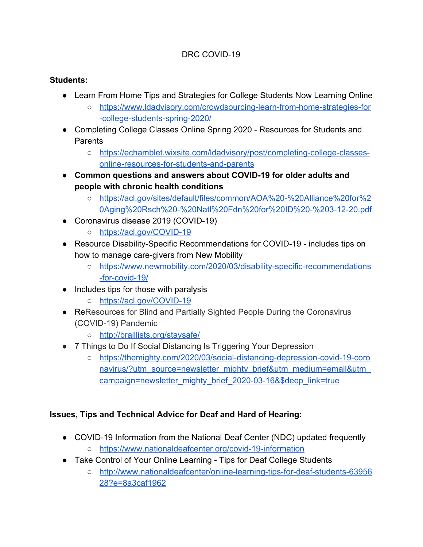## DRC COVID-19

#### **Students:**

- Learn From Home Tips and Strategies for College Students Now Learning Online
	- [https://www.ldadvisory.com/crowdsourcing-learn-from-home-strategies-for](https://www.ldadvisory.com/crowdsourcing-learn-from-home-strategies-for-college-students-spring-2020/) [-college-students-spring-2020/](https://www.ldadvisory.com/crowdsourcing-learn-from-home-strategies-for-college-students-spring-2020/)
- Completing College Classes Online Spring 2020 Resources for Students and **Parents** 
	- [https://echamblet.wixsite.com/ldadvisory/post/completing-college-classes](https://echamblet.wixsite.com/ldadvisory/post/completing-college-classes-online-resources-for-students-and-parents)[online-resources-for-students-and-parents](https://echamblet.wixsite.com/ldadvisory/post/completing-college-classes-online-resources-for-students-and-parents)
- **● Common questions and answers about COVID-19 for older adults and people with chronic health conditions**
	- [https://acl.gov/sites/default/files/common/AOA%20-%20Alliance%20for%2](https://acl.gov/sites/default/files/common/AOA%20-%20Alliance%20for%20Aging%20Rsch%20-%20Natl%20Fdn%20for%20ID%20-%203-12-20.pdf) [0Aging%20Rsch%20-%20Natl%20Fdn%20for%20ID%20-%203-12-20.pdf](https://acl.gov/sites/default/files/common/AOA%20-%20Alliance%20for%20Aging%20Rsch%20-%20Natl%20Fdn%20for%20ID%20-%203-12-20.pdf)
- Coronavirus disease 2019 (COVID-19)
	- <https://acl.gov/COVID-19>
- Resource Disability-Specific Recommendations for COVID-19 includes tips on how to manage care-givers from New Mobility
	- [https://www.newmobility.com/2020/03/disability-specific-recommendations](https://www.newmobility.com/2020/03/disability-specific-recommendations-for-covid-19/) [-for-covid-19/](https://www.newmobility.com/2020/03/disability-specific-recommendations-for-covid-19/)
- Includes tips for those with paralysis
	- <https://acl.gov/COVID-19>
- ReResources for Blind and Partially Sighted People During the Coronavirus (COVID-19) Pandemic
	- <http://braillists.org/staysafe/>
- 7 Things to Do If Social Distancing Is Triggering Your Depression
	- [https://themighty.com/2020/03/social-distancing-depression-covid-19-coro](https://themighty.com/2020/03/social-distancing-depression-covid-19-coronavirus/?utm_source=newsletter_mighty_brief&utm_medium=email&utm_campaign=newsletter_mighty_brief_2020-03-16&$deep_link=true) navirus/?utm\_source=newsletter\_mighty\_brief&utm\_medium=email&utm [campaign=newsletter\\_mighty\\_brief\\_2020-03-16&\\$deep\\_link=true](https://themighty.com/2020/03/social-distancing-depression-covid-19-coronavirus/?utm_source=newsletter_mighty_brief&utm_medium=email&utm_campaign=newsletter_mighty_brief_2020-03-16&$deep_link=true)

#### **Issues, Tips and Technical Advice for Deaf and Hard of Hearing:**

- COVID-19 Information from the National Deaf Center (NDC) updated frequently
	- <https://www.nationaldeafcenter.org/covid-19-information>
- Take Control of Your Online Learning Tips for Deaf College Students
	- [http://www.nationaldeafcenter/online-learning-tips-for-deaf-students-63956](http://www.nationaldeafcenter/online-learning-tips-for-deaf-students-6395628?e=8a3caf1962) [28?e=8a3caf1962](http://www.nationaldeafcenter/online-learning-tips-for-deaf-students-6395628?e=8a3caf1962)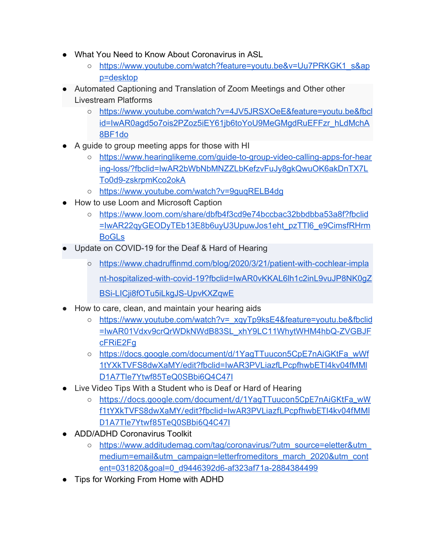- What You Need to Know About Coronavirus in ASL
	- [https://www.youtube.com/watch?feature=youtu.be&v=Uu7PRKGK1\\_s&ap](https://www.youtube.com/watch?feature=youtu.be&v=Uu7PRKGK1_s&app=desktop) [p=desktop](https://www.youtube.com/watch?feature=youtu.be&v=Uu7PRKGK1_s&app=desktop)
- Automated Captioning and Translation of Zoom Meetings and Other other Livestream Platforms
	- [https://www.youtube.com/watch?v=4JV5JRSXOeE&feature=youtu.be&fbcl](https://www.youtube.com/watch?v=4JV5JRSXOeE&feature=youtu.be&fbclid=IwAR0agd5o7ois2PZoz5iEY61jb6toYoU9MeGMgdRuEFFzr_hLdMchA8BF1do) [id=IwAR0agd5o7ois2PZoz5iEY61jb6toYoU9MeGMgdRuEFFzr\\_hLdMchA](https://www.youtube.com/watch?v=4JV5JRSXOeE&feature=youtu.be&fbclid=IwAR0agd5o7ois2PZoz5iEY61jb6toYoU9MeGMgdRuEFFzr_hLdMchA8BF1do) [8BF1do](https://www.youtube.com/watch?v=4JV5JRSXOeE&feature=youtu.be&fbclid=IwAR0agd5o7ois2PZoz5iEY61jb6toYoU9MeGMgdRuEFFzr_hLdMchA8BF1do)
- A guide to group meeting apps for those with HI
	- [https://www.hearinglikeme.com/guide-to-group-video-calling-apps-for-hear](https://www.hearinglikeme.com/guide-to-group-video-calling-apps-for-hearing-loss/?fbclid=IwAR2bWbNbMNZZLbKefzvFuJy8gkQwuOK6akDnTX7LTo0d9-zskrpmKco2okA) [ing-loss/?fbclid=IwAR2bWbNbMNZZLbKefzvFuJy8gkQwuOK6akDnTX7L](https://www.hearinglikeme.com/guide-to-group-video-calling-apps-for-hearing-loss/?fbclid=IwAR2bWbNbMNZZLbKefzvFuJy8gkQwuOK6akDnTX7LTo0d9-zskrpmKco2okA) [To0d9-zskrpmKco2okA](https://www.hearinglikeme.com/guide-to-group-video-calling-apps-for-hearing-loss/?fbclid=IwAR2bWbNbMNZZLbKefzvFuJy8gkQwuOK6akDnTX7LTo0d9-zskrpmKco2okA)
	- <https://www.youtube.com/watch?v=9guqRELB4dg>
- How to use Loom and Microsoft Caption
	- [https://www.loom.com/share/dbfb4f3cd9e74bccbac32bbdbba53a8f?fbclid](https://www.loom.com/share/dbfb4f3cd9e74bccbac32bbdbba53a8f?fbclid=IwAR22qyGEODyTEb13E8b6uyU3UpuwJos1eht_pzTTl6_e9CimsfRHrmBoGLs) [=IwAR22qyGEODyTEb13E8b6uyU3UpuwJos1eht\\_pzTTl6\\_e9CimsfRHrm](https://www.loom.com/share/dbfb4f3cd9e74bccbac32bbdbba53a8f?fbclid=IwAR22qyGEODyTEb13E8b6uyU3UpuwJos1eht_pzTTl6_e9CimsfRHrmBoGLs) [BoGLs](https://www.loom.com/share/dbfb4f3cd9e74bccbac32bbdbba53a8f?fbclid=IwAR22qyGEODyTEb13E8b6uyU3UpuwJos1eht_pzTTl6_e9CimsfRHrmBoGLs)
- Update on COVID-19 for the Deaf & Hard of Hearing
	- [https://www.chadruffinmd.com/blog/2020/3/21/patient-with-cochlear-impla](https://www.chadruffinmd.com/blog/2020/3/21/patient-with-cochlear-implant-hospitalized-with-covid-19?fbclid=IwAR0vKKAL6lh1c2inL9vuJP8NK0gZBSi-LICji8fOTu5iLkgJS-UpvKXZqwE) [nt-hospitalized-with-covid-19?fbclid=IwAR0vKKAL6lh1c2inL9vuJP8NK0gZ](https://www.chadruffinmd.com/blog/2020/3/21/patient-with-cochlear-implant-hospitalized-with-covid-19?fbclid=IwAR0vKKAL6lh1c2inL9vuJP8NK0gZBSi-LICji8fOTu5iLkgJS-UpvKXZqwE) [BSi-LICji8fOTu5iLkgJS-UpvKXZqwE](https://www.chadruffinmd.com/blog/2020/3/21/patient-with-cochlear-implant-hospitalized-with-covid-19?fbclid=IwAR0vKKAL6lh1c2inL9vuJP8NK0gZBSi-LICji8fOTu5iLkgJS-UpvKXZqwE)
- How to care, clean, and maintain your hearing aids
	- [https://www.youtube.com/watch?v=\\_xqyTp9ksE4&feature=youtu.be&fbclid](https://www.youtube.com/watch?v=_xqyTp9ksE4&feature=youtu.be&fbclid=IwAR01Vdxv9crQrWDkNWdB83SL_xhY9LC11WhytWHM4hbQ-ZVGBJFcFRiE2Fg) [=IwAR01Vdxv9crQrWDkNWdB83SL\\_xhY9LC11WhytWHM4hbQ-ZVGBJF](https://www.youtube.com/watch?v=_xqyTp9ksE4&feature=youtu.be&fbclid=IwAR01Vdxv9crQrWDkNWdB83SL_xhY9LC11WhytWHM4hbQ-ZVGBJFcFRiE2Fg) [cFRiE2Fg](https://www.youtube.com/watch?v=_xqyTp9ksE4&feature=youtu.be&fbclid=IwAR01Vdxv9crQrWDkNWdB83SL_xhY9LC11WhytWHM4hbQ-ZVGBJFcFRiE2Fg)
	- [https://docs.google.com/document/d/1YagTTuucon5CpE7nAiGKtFa\\_wWf](https://docs.google.com/document/d/1YagTTuucon5CpE7nAiGKtFa_wWf1tYXkTVFS8dwXaMY/edit?fbclid=IwAR3PVLiazfLPcpfhwbETI4kv04fMMlD1A7Tle7Ytwf85TeQ0SBbi6Q4C47I) [1tYXkTVFS8dwXaMY/edit?fbclid=IwAR3PVLiazfLPcpfhwbETI4kv04fMMl](https://docs.google.com/document/d/1YagTTuucon5CpE7nAiGKtFa_wWf1tYXkTVFS8dwXaMY/edit?fbclid=IwAR3PVLiazfLPcpfhwbETI4kv04fMMlD1A7Tle7Ytwf85TeQ0SBbi6Q4C47I) [D1A7Tle7Ytwf85TeQ0SBbi6Q4C47I](https://docs.google.com/document/d/1YagTTuucon5CpE7nAiGKtFa_wWf1tYXkTVFS8dwXaMY/edit?fbclid=IwAR3PVLiazfLPcpfhwbETI4kv04fMMlD1A7Tle7Ytwf85TeQ0SBbi6Q4C47I)
- Live Video Tips With a Student who is Deaf or Hard of Hearing
	- [https://docs.google.com/document/d/1YagTTuucon5CpE7nAiGKtFa\\_wW](https://docs.google.com/document/d/1YagTTuucon5CpE7nAiGKtFa_wWf1tYXkTVFS8dwXaMY/edit?fbclid=IwAR3PVLiazfLPcpfhwbETI4kv04fMMlD1A7Tle7Ytwf85TeQ0SBbi6Q4C47I) [f1tYXkTVFS8dwXaMY/edit?fbclid=IwAR3PVLiazfLPcpfhwbETI4kv04fMMl](https://docs.google.com/document/d/1YagTTuucon5CpE7nAiGKtFa_wWf1tYXkTVFS8dwXaMY/edit?fbclid=IwAR3PVLiazfLPcpfhwbETI4kv04fMMlD1A7Tle7Ytwf85TeQ0SBbi6Q4C47I) [D1A7Tle7Ytwf85TeQ0SBbi6Q4C47I](https://docs.google.com/document/d/1YagTTuucon5CpE7nAiGKtFa_wWf1tYXkTVFS8dwXaMY/edit?fbclid=IwAR3PVLiazfLPcpfhwbETI4kv04fMMlD1A7Tle7Ytwf85TeQ0SBbi6Q4C47I)
- ADD/ADHD Coronavirus Toolkit
	- https://www.additudemag.com/tag/coronavirus/?utm\_source=eletter&utm [medium=email&utm\\_campaign=letterfromeditors\\_march\\_2020&utm\\_cont](https://www.additudemag.com/tag/coronavirus/?utm_source=eletter&utm_medium=email&utm_campaign=letterfromeditors_march_2020&utm_content=031820&goal=0_d9446392d6-af323af71a-2884384499) [ent=031820&goal=0\\_d9446392d6-af323af71a-2884384499](https://www.additudemag.com/tag/coronavirus/?utm_source=eletter&utm_medium=email&utm_campaign=letterfromeditors_march_2020&utm_content=031820&goal=0_d9446392d6-af323af71a-2884384499)
- Tips for Working From Home with ADHD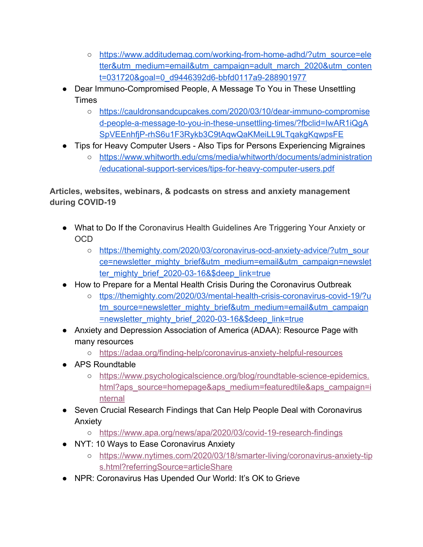- [https://www.additudemag.com/working-from-home-adhd/?utm\\_source=ele](https://www.additudemag.com/working-from-home-adhd/?utm_source=eletter&utm_medium=email&utm_campaign=adult_march_2020&utm_content=031720&goal=0_d9446392d6-bbfd0117a9-288901977) [tter&utm\\_medium=email&utm\\_campaign=adult\\_march\\_2020&utm\\_conten](https://www.additudemag.com/working-from-home-adhd/?utm_source=eletter&utm_medium=email&utm_campaign=adult_march_2020&utm_content=031720&goal=0_d9446392d6-bbfd0117a9-288901977) [t=031720&goal=0\\_d9446392d6-bbfd0117a9-288901977](https://www.additudemag.com/working-from-home-adhd/?utm_source=eletter&utm_medium=email&utm_campaign=adult_march_2020&utm_content=031720&goal=0_d9446392d6-bbfd0117a9-288901977)
- Dear Immuno-Compromised People, A Message To You in These Unsettling **Times** 
	- [https://cauldronsandcupcakes.com/2020/03/10/dear-immuno-compromise](https://cauldronsandcupcakes.com/2020/03/10/dear-immuno-compromised-people-a-message-to-you-in-these-unsettling-times/?fbclid=IwAR1iQgASpVEEnhfjP-rhS6u1F3Rykb3C9tAqwQaKMeiLL9LTqakgKqwpsFE) [d-people-a-message-to-you-in-these-unsettling-times/?fbclid=IwAR1iQgA](https://cauldronsandcupcakes.com/2020/03/10/dear-immuno-compromised-people-a-message-to-you-in-these-unsettling-times/?fbclid=IwAR1iQgASpVEEnhfjP-rhS6u1F3Rykb3C9tAqwQaKMeiLL9LTqakgKqwpsFE) [SpVEEnhfjP-rhS6u1F3Rykb3C9tAqwQaKMeiLL9LTqakgKqwpsFE](https://cauldronsandcupcakes.com/2020/03/10/dear-immuno-compromised-people-a-message-to-you-in-these-unsettling-times/?fbclid=IwAR1iQgASpVEEnhfjP-rhS6u1F3Rykb3C9tAqwQaKMeiLL9LTqakgKqwpsFE)
- Tips for Heavy Computer Users Also Tips for Persons Experiencing Migraines
	- [https://www.whitworth.edu/cms/media/whitworth/documents/administration](https://www.whitworth.edu/cms/media/whitworth/documents/administration/educational-support-services/tips-for-heavy-computer-users.pdf) [/educational-support-services/tips-for-heavy-computer-users.pdf](https://www.whitworth.edu/cms/media/whitworth/documents/administration/educational-support-services/tips-for-heavy-computer-users.pdf)

**Articles, websites, webinars, & podcasts on stress and anxiety management during COVID-19**

- What to Do If the Coronavirus Health Guidelines Are Triggering Your Anxiety or OCD
	- [https://themighty.com/2020/03/coronavirus-ocd-anxiety-advice/?utm\\_sour](https://themighty.com/2020/03/coronavirus-ocd-anxiety-advice/?utm_source=newsletter_mighty_brief&utm_medium=email&utm_campaign=newsletter_mighty_brief_2020-03-16&$deep_link=true) [ce=newsletter\\_mighty\\_brief&utm\\_medium=email&utm\\_campaign=newslet](https://themighty.com/2020/03/coronavirus-ocd-anxiety-advice/?utm_source=newsletter_mighty_brief&utm_medium=email&utm_campaign=newsletter_mighty_brief_2020-03-16&$deep_link=true) [ter\\_mighty\\_brief\\_2020-03-16&\\$deep\\_link=true](https://themighty.com/2020/03/coronavirus-ocd-anxiety-advice/?utm_source=newsletter_mighty_brief&utm_medium=email&utm_campaign=newsletter_mighty_brief_2020-03-16&$deep_link=true)
- How to Prepare for a Mental Health Crisis During the Coronavirus Outbreak
	- o [ttps://themighty.com/2020/03/mental-health-crisis-coronavirus-covid-19/?u](https://themighty.com/2020/03/mental-health-crisis-coronavirus-covid-19/?utm_source=newsletter_mighty_brief&utm_medium=email&utm_campaign=newsletter_mighty_brief_2020-03-16&$deep_link=true) [tm\\_source=newsletter\\_mighty\\_brief&utm\\_medium=email&utm\\_campaign](https://themighty.com/2020/03/mental-health-crisis-coronavirus-covid-19/?utm_source=newsletter_mighty_brief&utm_medium=email&utm_campaign=newsletter_mighty_brief_2020-03-16&$deep_link=true) [=newsletter\\_mighty\\_brief\\_2020-03-16&\\$deep\\_link=true](https://themighty.com/2020/03/mental-health-crisis-coronavirus-covid-19/?utm_source=newsletter_mighty_brief&utm_medium=email&utm_campaign=newsletter_mighty_brief_2020-03-16&$deep_link=true)
- Anxiety and Depression Association of America (ADAA): Resource Page with many resources
	- <https://adaa.org/finding-help/coronavirus-anxiety-helpful-resources>
- APS Roundtable
	- [https://www.psychologicalscience.org/blog/roundtable-science-epidemics.](https://www.psychologicalscience.org/blog/roundtable-science-epidemics.html?aps_source=homepage&aps_medium=featuredtile&aps_campaign=internal) [html?aps\\_source=homepage&aps\\_medium=featuredtile&aps\\_campaign=i](https://www.psychologicalscience.org/blog/roundtable-science-epidemics.html?aps_source=homepage&aps_medium=featuredtile&aps_campaign=internal) [nternal](https://www.psychologicalscience.org/blog/roundtable-science-epidemics.html?aps_source=homepage&aps_medium=featuredtile&aps_campaign=internal)
- Seven Crucial Research Findings that Can Help People Deal with Coronavirus Anxiety
	- <https://www.apa.org/news/apa/2020/03/covid-19-research-findings>
- NYT: 10 Ways to Ease Coronavirus Anxiety
	- o [https://www.nytimes.com/2020/03/18/smarter-living/coronavirus-anxiety-tip](https://www.nytimes.com/2020/03/18/smarter-living/coronavirus-anxiety-tips.html?referringSource=articleShare) [s.html?referringSource=articleShare](https://www.nytimes.com/2020/03/18/smarter-living/coronavirus-anxiety-tips.html?referringSource=articleShare)
- NPR: Coronavirus Has Upended Our World: It's OK to Grieve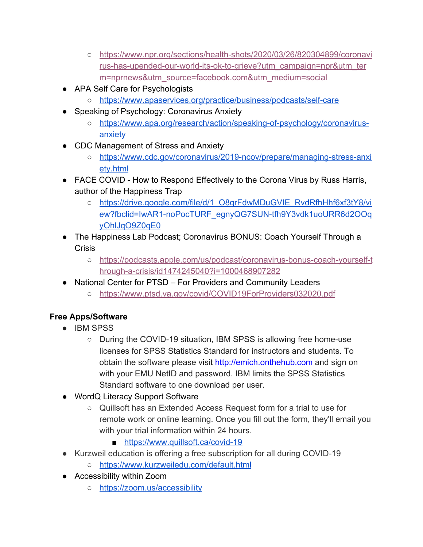- [https://www.npr.org/sections/health-shots/2020/03/26/820304899/coronavi](https://www.npr.org/sections/health-shots/2020/03/26/820304899/coronavirus-has-upended-our-world-its-ok-to-grieve?utm_campaign=npr&utm_term=nprnews&utm_source=facebook.com&utm_medium=social) [rus-has-upended-our-world-its-ok-to-grieve?utm\\_campaign=npr&utm\\_ter](https://www.npr.org/sections/health-shots/2020/03/26/820304899/coronavirus-has-upended-our-world-its-ok-to-grieve?utm_campaign=npr&utm_term=nprnews&utm_source=facebook.com&utm_medium=social) [m=nprnews&utm\\_source=facebook.com&utm\\_medium=social](https://www.npr.org/sections/health-shots/2020/03/26/820304899/coronavirus-has-upended-our-world-its-ok-to-grieve?utm_campaign=npr&utm_term=nprnews&utm_source=facebook.com&utm_medium=social)
- APA Self Care for Psychologists
	- <https://www.apaservices.org/practice/business/podcasts/self-care>
- Speaking of Psychology: Coronavirus Anxiety
	- [https://www.apa.org/research/action/speaking-of-psychology/coronavirus](https://www.apa.org/research/action/speaking-of-psychology/coronavirus-anxiety)[anxiety](https://www.apa.org/research/action/speaking-of-psychology/coronavirus-anxiety)
- CDC Management of Stress and Anxiety
	- [https://www.cdc.gov/coronavirus/2019-ncov/prepare/managing-stress-anxi](https://www.cdc.gov/coronavirus/2019-ncov/prepare/managing-stress-anxiety.html) [ety.html](https://www.cdc.gov/coronavirus/2019-ncov/prepare/managing-stress-anxiety.html)
- FACE COVID How to Respond Effectively to the Corona Virus by Russ Harris, author of the Happiness Trap
	- [https://drive.google.com/file/d/1\\_O8grFdwMDuGVIE\\_RvdRfhHhf6xf3tY8/vi](https://drive.google.com/file/d/1_O8grFdwMDuGVIE_RvdRfhHhf6xf3tY8/view?fbclid=IwAR1-noPocTURF_egnyQG7SUN-tfh9Y3vdk1uoURR6d2OOqyOhlJqO9Z0qE0) [ew?fbclid=IwAR1-noPocTURF\\_egnyQG7SUN-tfh9Y3vdk1uoURR6d2OOq](https://drive.google.com/file/d/1_O8grFdwMDuGVIE_RvdRfhHhf6xf3tY8/view?fbclid=IwAR1-noPocTURF_egnyQG7SUN-tfh9Y3vdk1uoURR6d2OOqyOhlJqO9Z0qE0) [yOhlJqO9Z0qE0](https://drive.google.com/file/d/1_O8grFdwMDuGVIE_RvdRfhHhf6xf3tY8/view?fbclid=IwAR1-noPocTURF_egnyQG7SUN-tfh9Y3vdk1uoURR6d2OOqyOhlJqO9Z0qE0)
- The Happiness Lab Podcast; Coronavirus BONUS: Coach Yourself Through a Crisis
	- [https://podcasts.apple.com/us/podcast/coronavirus-bonus-coach-yourself-t](https://podcasts.apple.com/us/podcast/coronavirus-bonus-coach-yourself-through-a-crisis/id1474245040?i=1000468907282) [hrough-a-crisis/id1474245040?i=1000468907282](https://podcasts.apple.com/us/podcast/coronavirus-bonus-coach-yourself-through-a-crisis/id1474245040?i=1000468907282)
- National Center for PTSD For Providers and Community Leaders
	- <https://www.ptsd.va.gov/covid/COVID19ForProviders032020.pdf>

# **Free Apps/Software**

- IBM SPSS
	- During the COVID-19 situation, IBM SPSS is allowing free home-use licenses for SPSS Statistics Standard for instructors and students. To obtain the software please visit [http://emich.onthehub.com](http://emich.onthehub.com/) and sign on with your EMU NetID and password. IBM limits the SPSS Statistics Standard software to one download per user.
- [WordQ](https://www.quillsoft.ca/covid-19) Literacy Support Software
	- Quillsoft has an Extended Access Request form for a trial to use for remote work or online learning. Once you fill out the form, they'll email you with your trial information within 24 hours.
		- <https://www.quillsoft.ca/covid-19>
- Kurzweil education is offering a free subscription for all during COVID-19
	- <https://www.kurzweiledu.com/default.html>
- Accessibility within Zoom
	- <https://zoom.us/accessibility>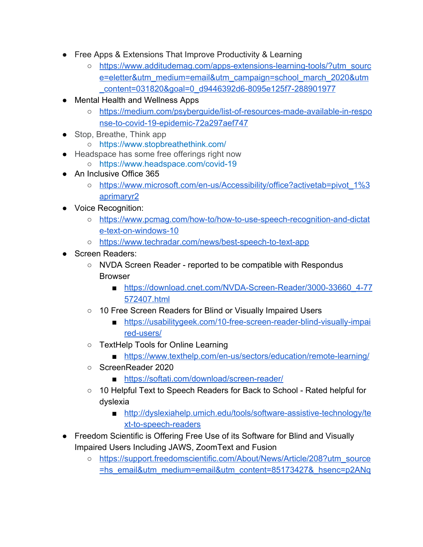- Free Apps & Extensions That Improve Productivity & Learning
	- [https://www.additudemag.com/apps-extensions-learning-tools/?utm\\_sourc](https://www.additudemag.com/apps-extensions-learning-tools/?utm_source=eletter&utm_medium=email&utm_campaign=school_march_2020&utm_content=031820&goal=0_d9446392d6-8095e125f7-288901977) [e=eletter&utm\\_medium=email&utm\\_campaign=school\\_march\\_2020&utm](https://www.additudemag.com/apps-extensions-learning-tools/?utm_source=eletter&utm_medium=email&utm_campaign=school_march_2020&utm_content=031820&goal=0_d9446392d6-8095e125f7-288901977) [\\_content=031820&goal=0\\_d9446392d6-8095e125f7-288901977](https://www.additudemag.com/apps-extensions-learning-tools/?utm_source=eletter&utm_medium=email&utm_campaign=school_march_2020&utm_content=031820&goal=0_d9446392d6-8095e125f7-288901977)
- **Mental Health and Wellness Apps** 
	- [https://medium.com/psyberguide/list-of-resources-made-available-in-respo](https://medium.com/psyberguide/list-of-resources-made-available-in-response-to-covid-19-epidemic-72a297aef747) [nse-to-covid-19-epidemic-72a297aef747](https://medium.com/psyberguide/list-of-resources-made-available-in-response-to-covid-19-epidemic-72a297aef747)
- Stop, Breathe, Think app
	- <https://www.stopbreathethink.com/>
- Headspace has some free offerings right now
	- <https://www.headspace.com/covid-19>
- An Inclusive Office 365
	- [https://www.microsoft.com/en-us/Accessibility/office?activetab=pivot\\_1%3](https://www.microsoft.com/en-us/Accessibility/office?activetab=pivot_1%3aprimaryr2) [aprimaryr2](https://www.microsoft.com/en-us/Accessibility/office?activetab=pivot_1%3aprimaryr2)
- Voice Recognition:
	- [https://www.pcmag.com/how-to/how-to-use-speech-recognition-and-dictat](https://www.pcmag.com/how-to/how-to-use-speech-recognition-and-dictate-text-on-windows-10) [e-text-on-windows-10](https://www.pcmag.com/how-to/how-to-use-speech-recognition-and-dictate-text-on-windows-10)
	- <https://www.techradar.com/news/best-speech-to-text-app>
- Screen Readers:
	- NVDA Screen Reader reported to be compatible with Respondus Browser
		- [https://download.cnet.com/NVDA-Screen-Reader/3000-33660\\_4-77](https://download.cnet.com/NVDA-Screen-Reader/3000-33660_4-77572407.html) [572407.html](https://download.cnet.com/NVDA-Screen-Reader/3000-33660_4-77572407.html)
	- 10 Free Screen Readers for Blind or Visually Impaired Users
		- [https://usabilitygeek.com/10-free-screen-reader-blind-visually-impai](https://usabilitygeek.com/10-free-screen-reader-blind-visually-impaired-users/) [red-users/](https://usabilitygeek.com/10-free-screen-reader-blind-visually-impaired-users/)
	- TextHelp Tools for Online Learning
		- <https://www.texthelp.com/en-us/sectors/education/remote-learning/>
	- ScreenReader 2020
		- <https://softati.com/download/screen-reader/>
	- 10 Helpful Text to Speech Readers for Back to School Rated helpful for dyslexia
		- [http://dyslexiahelp.umich.edu/tools/software-assistive-technology/te](http://dyslexiahelp.umich.edu/tools/software-assistive-technology/text-to-speech-readers) [xt-to-speech-readers](http://dyslexiahelp.umich.edu/tools/software-assistive-technology/text-to-speech-readers)
- Freedom Scientific is Offering Free Use of its Software for Blind and Visually Impaired Users Including JAWS, ZoomText and Fusion
	- [https://support.freedomscientific.com/About/News/Article/208?utm\\_source](https://support.freedomscientific.com/About/News/Article/208?utm_source=hs_email&utm_medium=email&utm_content=85173427&_hsenc=p2ANqtz-9YsUcneo-0de8hyUCcwrcaQj-j_HQC8hX5ioALt7FxQQ2BFSLHNJv3rKs3UsgYKemcazdmr5n3oGLkOJBwCfkVEjyNwg&_hsmi=85173427) [=hs\\_email&utm\\_medium=email&utm\\_content=85173427&\\_hsenc=p2ANq](https://support.freedomscientific.com/About/News/Article/208?utm_source=hs_email&utm_medium=email&utm_content=85173427&_hsenc=p2ANqtz-9YsUcneo-0de8hyUCcwrcaQj-j_HQC8hX5ioALt7FxQQ2BFSLHNJv3rKs3UsgYKemcazdmr5n3oGLkOJBwCfkVEjyNwg&_hsmi=85173427)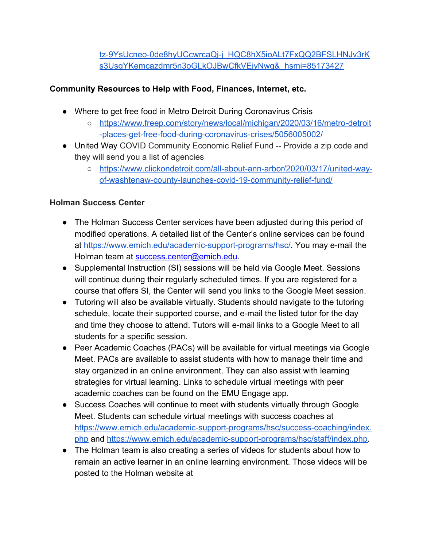[tz-9YsUcneo-0de8hyUCcwrcaQj-j\\_HQC8hX5ioALt7FxQQ2BFSLHNJv3rK](https://support.freedomscientific.com/About/News/Article/208?utm_source=hs_email&utm_medium=email&utm_content=85173427&_hsenc=p2ANqtz-9YsUcneo-0de8hyUCcwrcaQj-j_HQC8hX5ioALt7FxQQ2BFSLHNJv3rKs3UsgYKemcazdmr5n3oGLkOJBwCfkVEjyNwg&_hsmi=85173427) [s3UsgYKemcazdmr5n3oGLkOJBwCfkVEjyNwg&\\_hsmi=85173427](https://support.freedomscientific.com/About/News/Article/208?utm_source=hs_email&utm_medium=email&utm_content=85173427&_hsenc=p2ANqtz-9YsUcneo-0de8hyUCcwrcaQj-j_HQC8hX5ioALt7FxQQ2BFSLHNJv3rKs3UsgYKemcazdmr5n3oGLkOJBwCfkVEjyNwg&_hsmi=85173427)

## **Community Resources to Help with Food, Finances, Internet, etc.**

- Where to get free food in Metro Detroit During Coronavirus Crisis
	- [https://www.freep.com/story/news/local/michigan/2020/03/16/metro-detroit](https://www.freep.com/story/news/local/michigan/2020/03/16/metro-detroit-places-get-free-food-during-coronavirus-crises/5056005002/) [-places-get-free-food-during-coronavirus-crises/5056005002/](https://www.freep.com/story/news/local/michigan/2020/03/16/metro-detroit-places-get-free-food-during-coronavirus-crises/5056005002/)
- United Way COVID Community Economic Relief Fund -- Provide a zip code and they will send you a list of agencies
	- [https://www.clickondetroit.com/all-about-ann-arbor/2020/03/17/united-way](https://www.clickondetroit.com/all-about-ann-arbor/2020/03/17/united-way-of-washtenaw-county-launches-covid-19-community-relief-fund/)[of-washtenaw-county-launches-covid-19-community-relief-fund/](https://www.clickondetroit.com/all-about-ann-arbor/2020/03/17/united-way-of-washtenaw-county-launches-covid-19-community-relief-fund/)

## **Holman Success Center**

- The Holman Success Center services have been adjusted during this period of modified operations. A detailed list of the Center's online services can be found at [https://www.emich.edu/academic-support-programs/hsc/.](https://www.emich.edu/academic-support-programs/hsc/) You may e-mail the Holman team at success.center@emich.edu.
- Supplemental Instruction (SI) sessions will be held via Google Meet. Sessions will continue during their regularly scheduled times. If you are registered for a course that offers SI, the Center will send you links to the Google Meet session.
- Tutoring will also be available virtually. Students should navigate to the tutoring schedule, locate their supported course, and e-mail the listed tutor for the day and time they choose to attend. Tutors will e-mail links to a Google Meet to all students for a specific session.
- Peer Academic Coaches (PACs) will be available for virtual meetings via Google Meet. PACs are available to assist students with how to manage their time and stay organized in an online environment. They can also assist with learning strategies for virtual learning. Links to schedule virtual meetings with peer academic coaches can be found on the EMU Engage app.
- Success Coaches will continue to meet with students virtually through Google Meet. Students can schedule virtual meetings with success coaches at [https://www.emich.edu/academic-support-programs/hsc/success-coaching/index.](https://www.emich.edu/academic-support-programs/hsc/success-coaching/index.php) [php](https://www.emich.edu/academic-support-programs/hsc/success-coaching/index.php) and<https://www.emich.edu/academic-support-programs/hsc/staff/index.php>.
- The Holman team is also creating a series of videos for students about how to remain an active learner in an online learning environment. Those videos will be posted to the Holman website at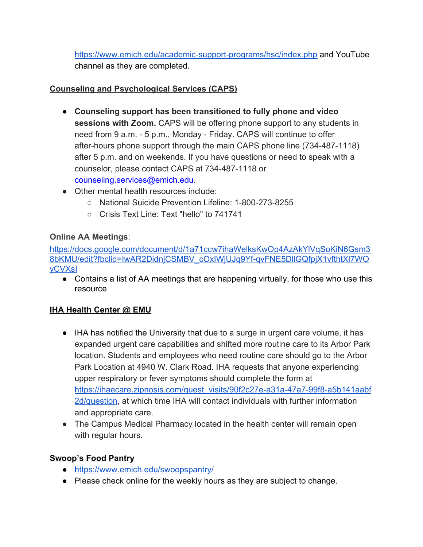<https://www.emich.edu/academic-support-programs/hsc/index.php>and YouTube channel as they are completed.

# **Counseling and Psychological Services (CAPS)**

- **Counseling support has been transitioned to fully phone and video sessions with Zoom.** CAPS will be offering phone support to any students in need from 9 a.m. - 5 p.m., Monday - Friday. CAPS will continue to offer after-hours phone support through the main CAPS phone line (734-487-1118) after 5 p.m. and on weekends. If you have questions or need to speak with a counselor, please contact CAPS at 734-487-1118 or counseling.services@emich.edu.
- Other mental health resources include:
	- National Suicide Prevention Lifeline: 1-800-273-8255
	- Crisis Text Line: Text "hello" to 741741

# **Online AA Meetings**:

[https://docs.google.com/document/d/1a71ccw7ihaWelksKwOp4AzAkYlVqSoKiN6Gsm3](https://docs.google.com/document/d/1a71ccw7ihaWelksKwOp4AzAkYlVqSoKiN6Gsm38bKMU/edit?fbclid=IwAR2DidnjCSMBV_cOxIWjUJq9Yf-qvFNE5DllGQfpjX1vfthtXl7WOyCVXsI) [8bKMU/edit?fbclid=IwAR2DidnjCSMBV\\_cOxIWjUJq9Yf-qvFNE5DllGQfpjX1vfthtXl7WO](https://docs.google.com/document/d/1a71ccw7ihaWelksKwOp4AzAkYlVqSoKiN6Gsm38bKMU/edit?fbclid=IwAR2DidnjCSMBV_cOxIWjUJq9Yf-qvFNE5DllGQfpjX1vfthtXl7WOyCVXsI) [yCVXsI](https://docs.google.com/document/d/1a71ccw7ihaWelksKwOp4AzAkYlVqSoKiN6Gsm38bKMU/edit?fbclid=IwAR2DidnjCSMBV_cOxIWjUJq9Yf-qvFNE5DllGQfpjX1vfthtXl7WOyCVXsI)

• Contains a list of AA meetings that are happening virtually, for those who use this resource

## **IHA Health Center @ EMU**

- IHA has notified the University that due to a surge in urgent care volume, it has expanded urgent care capabilities and shifted more routine care to its Arbor Park location. Students and employees who need routine care should go to the Arbor Park Location at 4940 W. Clark Road. IHA requests that anyone experiencing upper respiratory or fever symptoms should complete the form at [https://ihaecare.zipnosis.com/guest\\_visits/90f2c27e-a31a-47a7-99f8-a5b141aabf](https://ihaecare.zipnosis.com/guest_visits/90f2c27e-a31a-47a7-99f8-a5b141aabf2d/question) [2d/question](https://ihaecare.zipnosis.com/guest_visits/90f2c27e-a31a-47a7-99f8-a5b141aabf2d/question), at which time IHA will contact individuals with further information and appropriate care.
- The Campus Medical Pharmacy located in the health center will remain open with regular hours.

## **Swoop's Food Pantry**

- <https://www.emich.edu/swoopspantry/>
- Please check online for the weekly hours as they are subject to change.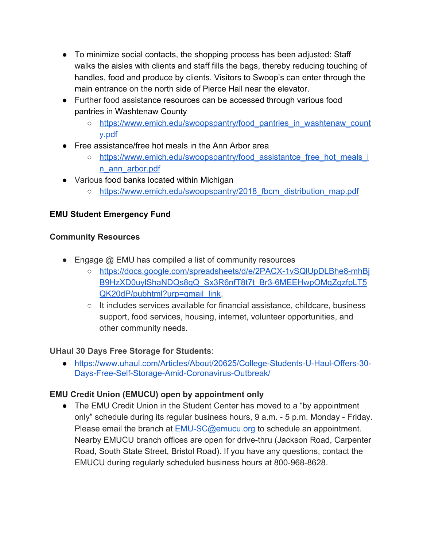- To minimize social contacts, the shopping process has been adjusted: Staff walks the aisles with clients and staff fills the bags, thereby reducing touching of handles, food and produce by clients. Visitors to Swoop's can enter through the main entrance on the north side of Pierce Hall near the elevator.
- Further [food](https://www.emich.edu/swoopspantry/food_pantries_in_washtenaw_county.pdf) assistance resources can be accessed through various food [pantries in Washtenaw County](https://www.emich.edu/swoopspantry/food_pantries_in_washtenaw_county.pdf)
	- https://www.emich.edu/swoopspantry/food pantries in washtenaw count [y.pdf](https://www.emich.edu/swoopspantry/food_pantries_in_washtenaw_county.pdf)
- F[ree assistance/free hot meals in the Ann Arbor area](https://www.emich.edu/swoopspantry/food_assistantce_free_hot_meals_in_ann_arbor.pdf)
	- o https://www.emich.edu/swoopspantry/food assistantce free hot meals i [n\\_ann\\_arbor.pdf](https://www.emich.edu/swoopspantry/food_assistantce_free_hot_meals_in_ann_arbor.pdf)
- Various [food banks located within Michigan](https://www.emich.edu/swoopspantry/2018_fbcm_distribution_map.pdf)
	- https://www.emich.edu/swoopspantry/2018 fbcm\_distribution\_map.pdf

# **[EMU Student Emergency Fund](https://www.emich.edu/foundation/give/?fund=02475)**

## **Community Resources**

- Engage @ EMU has compiled a list of community resources
	- [https://docs.google.com/spreadsheets/d/e/2PACX-1vSQlUpDLBhe8-mhBj](https://docs.google.com/spreadsheets/d/e/2PACX-1vSQlUpDLBhe8-mhBjB9HzXD0uylShaNDQs8qQ_Sx3R6nfT8t7t_Br3-6MEEHwpOMqZgzfpLT5QK20dP/pubhtml?urp=gmail_link) [B9HzXD0uylShaNDQs8qQ\\_Sx3R6nfT8t7t\\_Br3-6MEEHwpOMqZgzfpLT5](https://docs.google.com/spreadsheets/d/e/2PACX-1vSQlUpDLBhe8-mhBjB9HzXD0uylShaNDQs8qQ_Sx3R6nfT8t7t_Br3-6MEEHwpOMqZgzfpLT5QK20dP/pubhtml?urp=gmail_link) [QK20dP/pubhtml?urp=gmail\\_link.](https://docs.google.com/spreadsheets/d/e/2PACX-1vSQlUpDLBhe8-mhBjB9HzXD0uylShaNDQs8qQ_Sx3R6nfT8t7t_Br3-6MEEHwpOMqZgzfpLT5QK20dP/pubhtml?urp=gmail_link)
	- It includes services available for financial assistance, childcare, business support, food services, housing, internet, volunteer opportunities, and other community needs.

## **UHaul 30 Days Free Storage for Students**:

● [https://www.uhaul.com/Articles/About/20625/College-Students-U-Haul-Offers-30-](https://www.uhaul.com/Articles/About/20625/College-Students-U-Haul-Offers-30-Days-Free-Self-Storage-Amid-Coronavirus-Outbreak/) [Days-Free-Self-Storage-Amid-Coronavirus-Outbreak/](https://www.uhaul.com/Articles/About/20625/College-Students-U-Haul-Offers-30-Days-Free-Self-Storage-Amid-Coronavirus-Outbreak/)

# **EMU Credit Union (EMUCU) open by appointment only**

• The EMU Credit Union in the Student Center has moved to a "by appointment" only" schedule during its regular business hours, 9 a.m. - 5 p.m. Monday - Friday. Please email the branch at EMU-SC@emucu.org to schedule an appointment. Nearby EMUCU branch offices are open for drive-thru (Jackson Road, Carpenter Road, South State Street, Bristol Road). If you have any questions, contact the EMUCU during regularly scheduled business hours at 800-968-8628.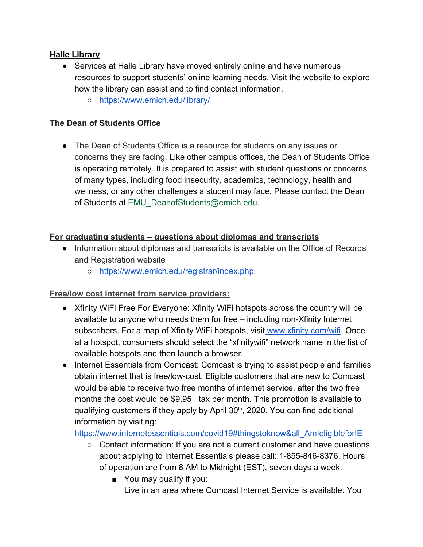#### **Halle Library**

- Services at Halle Library have moved entirely online and have numerous resources to support students' online learning needs. Visit the website to explore how the library can assist and to find contact information.
	- <https://www.emich.edu/library/>

#### **The Dean of Students Office**

• The Dean of Students Office is a resource for students on any issues or concerns they are facing. Like other campus offices, the Dean of Students Office is operating remotely. It is prepared to assist with student questions or concerns of many types, including food insecurity, academics, technology, health and wellness, or any other challenges a student may face. Please contact the Dean of Students at EMU\_DeanofStudents@emich.edu.

#### **For graduating students – questions about diplomas and transcripts**

- Information about diplomas and transcripts is available on the Office of Records and Registration website
	- [https://www.emich.edu/registrar/index.php.](https://www.emich.edu/registrar/index.php)

## **Free/low cost internet from service providers:**

- Xfinity WiFi Free For Everyone: Xfinity WiFi hotspots across the country will be available to anyone who needs them for free – including non-Xfinity Internet subscribers. For a map of Xfinity WiFi hotspots, visi[t www.xfinity.com/wifi.](http://www.xfinity.com/wifi) Once at a hotspot, consumers should select the "xfinitywifi" network name in the list of available hotspots and then launch a browser.
- Internet Essentials from Comcast: Comcast is trying to assist people and families obtain internet that is free/low-cost. Eligible customers that are new to Comcast would be able to receive two free months of internet service, after the two free months the cost would be \$9.95+ tax per month. This promotion is available to qualifying customers if they apply by April 30<sup>th</sup>, 2020. You can find additional information by visiting[:](https://www.internetessentials.com/covid19#thingstoknow&all_AmIeligibleforIE)

[https://www.internetessentials.com/covid19#thingstoknow&all\\_AmIeligibleforIE](https://www.internetessentials.com/covid19#thingstoknow&all_AmIeligibleforIE)

- Contact information: If you are not a current customer and have questions about applying to Internet Essentials please call: 1-855-846-8376. Hours of operation are from 8 AM to Midnight (EST), seven days a week.
	- You may qualify if you: Live in an area where Comcast Internet Service is available. You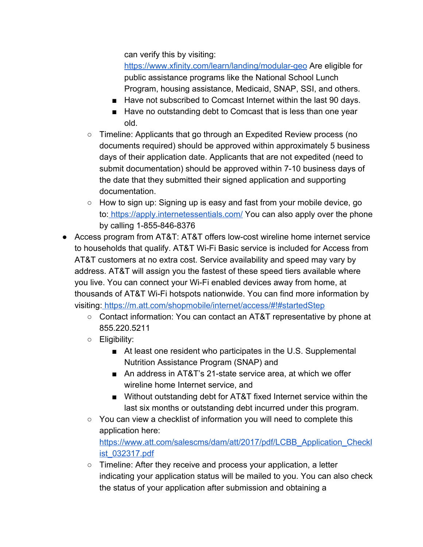can verify this by visiting:

<https://www.xfinity.com/learn/landing/modular-geo>Are eligible for public assistance programs like the National School Lunch Program, housing assistance, Medicaid, SNAP, SSI, and others.

- Have not subscribed to Comcast Internet within the last 90 days.
- Have no outstanding debt to Comcast that is less than one year old.
- $\circ$  Timeline: Applicants that go through an Expedited Review process (no documents required) should be approved within approximately 5 business days of their application date. Applicants that are not expedited (need to submit documentation) should be approved within 7-10 business days of the date that they submitted their signed application and supporting documentation.
- How to sign up: Signing up is easy and fast from your mobile device, go to:<https://apply.internetessentials.com/>You can also apply over the phone by calling 1-855-846-8376
- Access program from AT&T: AT&T offers low-cost wireline home internet service to households that qualify. AT&T Wi-Fi Basic service is included for Access from AT&T customers at no extra cost. Service availability and speed may vary by address. AT&T will assign you the fastest of these speed tiers available where you live. You can connect your Wi-Fi enabled devices away from home, at thousands of AT&T Wi-Fi hotspots nationwide. You can find more information by visiting:<https://m.att.com/shopmobile/internet/access/#!#startedStep>
	- Contact information: You can contact an AT&T representative by phone at 855.220.5211
	- Eligibility:
		- At least one resident who participates in the U.S. Supplemental Nutrition Assistance Program (SNAP) and
		- An address in AT&T's 21-state service area, at which we offer wireline home Internet service, and
		- Without outstanding debt for AT&T fixed Internet service within the last six months or outstanding debt incurred under this program.
	- You can view a checklist of information you will need to complete this application here[:](https://www.att.com/salescms/dam/att/2017/pdf/LCBB_Application_Checklist_032317.pdf) [https://www.att.com/salescms/dam/att/2017/pdf/LCBB\\_Application\\_Checkl](https://www.att.com/salescms/dam/att/2017/pdf/LCBB_Application_Checklist_032317.pdf)

[ist\\_032317.pdf](https://www.att.com/salescms/dam/att/2017/pdf/LCBB_Application_Checklist_032317.pdf)

○ Timeline: After they receive and process your application, a letter indicating your application status will be mailed to you. You can also check the status of your application after submission and obtaining a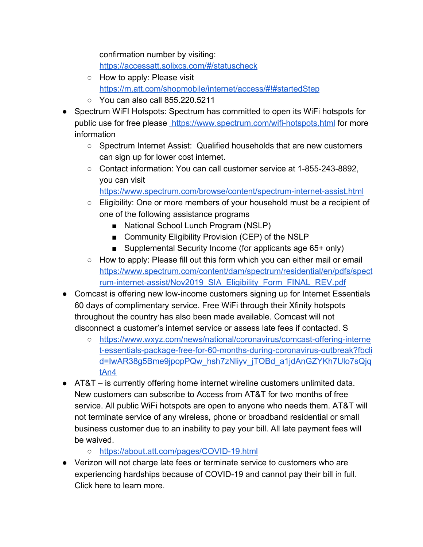confirmation number by visiting:

<https://accessatt.solixcs.com/#/statuscheck>

- How [t](https://m.att.com/shopmobile/internet/access/#!#startedStep)o apply: Please visit <https://m.att.com/shopmobile/internet/access/#!#startedStep>
- You can also call 855.220.5211
- Spectrum WiFI Hotspots: Spectrum has committed to open its WiFi hotspots for public use for free please<https://www.spectrum.com/wifi-hotspots.html> for more information
	- Spectrum Internet Assist: Qualified households that are new customers can sign up for lower cost internet.
	- Contact information: You can call customer service at 1-855-243-8892, you can visit

<https://www.spectrum.com/browse/content/spectrum-internet-assist.html>

- Eligibility: One or more members of your household must be a recipient of one of the following assistance programs
	- National School Lunch Program (NSLP)
	- Community Eligibility Provision (CEP) of the NSLP
	- Supplemental Security Income (for applicants age 65+ only)
- How to apply: Please fill out this form which you can either mail or email [https://www.spectrum.com/content/dam/spectrum/residential/en/pdfs/spect](https://www.spectrum.com/content/dam/spectrum/residential/en/pdfs/spectrum-internet-assist/Nov2019_SIA_Eligibility_Form_FINAL_REV.pdf) [rum-internet-assist/Nov2019\\_SIA\\_Eligibility\\_Form\\_FINAL\\_REV.pdf](https://www.spectrum.com/content/dam/spectrum/residential/en/pdfs/spectrum-internet-assist/Nov2019_SIA_Eligibility_Form_FINAL_REV.pdf)
- Comcast is offering new low-income customers signing up for Internet Essentials 60 days of complimentary service. Free WiFi through their Xfinity hotspots throughout the country has also been made available. Comcast will not disconnect a customer's internet service or assess late fees if contacted. S
	- [https://www.wxyz.com/news/national/coronavirus/comcast-offering-interne](https://www.wxyz.com/news/national/coronavirus/comcast-offering-internet-essentials-package-free-for-60-months-during-coronavirus-outbreak?fbclid=IwAR38g5Bme9jpopPQw_hsh7zNliyv_jTOBd_a1jdAnGZYKh7Ulo7sQjqtAn4) [t-essentials-package-free-for-60-months-during-coronavirus-outbreak?fbcli](https://www.wxyz.com/news/national/coronavirus/comcast-offering-internet-essentials-package-free-for-60-months-during-coronavirus-outbreak?fbclid=IwAR38g5Bme9jpopPQw_hsh7zNliyv_jTOBd_a1jdAnGZYKh7Ulo7sQjqtAn4) [d=IwAR38g5Bme9jpopPQw\\_hsh7zNliyv\\_jTOBd\\_a1jdAnGZYKh7Ulo7sQjq](https://www.wxyz.com/news/national/coronavirus/comcast-offering-internet-essentials-package-free-for-60-months-during-coronavirus-outbreak?fbclid=IwAR38g5Bme9jpopPQw_hsh7zNliyv_jTOBd_a1jdAnGZYKh7Ulo7sQjqtAn4) [tAn4](https://www.wxyz.com/news/national/coronavirus/comcast-offering-internet-essentials-package-free-for-60-months-during-coronavirus-outbreak?fbclid=IwAR38g5Bme9jpopPQw_hsh7zNliyv_jTOBd_a1jdAnGZYKh7Ulo7sQjqtAn4)
- $\bullet$  AT&T is currently offering home internet wireline customers unlimited data. New customers can subscribe to Access from AT&T for two months of free service. All public WiFi hotspots are open to anyone who needs them. AT&T will not terminate service of any wireless, phone or broadband residential or small business customer due to an inability to pay your bill. All late payment fees will be waived.
	- <https://about.att.com/pages/COVID-19.html>
- Verizon will not charge late fees or terminate service to customers who are experiencing hardships because of COVID-19 and cannot pay their bill in full. Click here to learn more.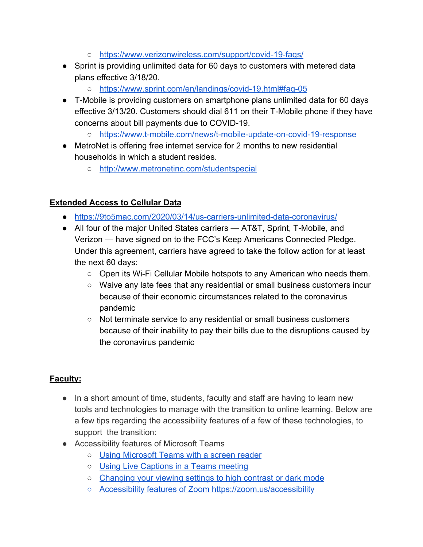- <https://www.verizonwireless.com/support/covid-19-faqs/>
- Sprint is providing unlimited data for 60 days to customers with metered data plans effective 3/18/20.
	- <https://www.sprint.com/en/landings/covid-19.html#faq-05>
- T-Mobile is providing customers on smartphone plans unlimited data for 60 days effective 3/13/20. Customers should dial 611 on their T-Mobile phone if they have concerns about bill payments due to COVID-19.
	- <https://www.t-mobile.com/news/t-mobile-update-on-covid-19-response>
- MetroNet is offering free internet service for 2 months to new residential households in which a student resides.
	- <http://www.metronetinc.com/studentspecial>

#### **Extended Access to Cellular Data**

- <https://9to5mac.com/2020/03/14/us-carriers-unlimited-data-coronavirus/>
- All four of the major United States carriers AT&T, Sprint, T-Mobile, and Verizon — have signed on to the FCC's Keep Americans Connected Pledge. Under this agreement, carriers have agreed to take the follow action for at least the next 60 days:
	- Open its Wi-Fi Cellular Mobile hotspots to any American who needs them.
	- Waive any late fees that any residential or small business customers incur because of their economic circumstances related to the coronavirus pandemic
	- Not terminate service to any residential or small business customers because of their inability to pay their bills due to the disruptions caused by the coronavirus pandemic

## **Faculty:**

- In a short amount of time, students, faculty and staff are having to learn new tools and technologies to manage with the transition to online learning. Below are a few tips regarding the accessibility features of a few of these technologies, to support the transition:
- Accessibility features of Microsoft Teams
	- [Using Microsoft Teams with a screen reader](https://support.office.com/en-us/article/accessibility-support-for-microsoft-teams-d12ee53f-d15f-445e-be8d-f0ba2c5ee68f)
	- [Using Live Captions in a Teams meeting](https://support.office.com/en-us/article/use-live-captions-in-a-teams-meeting-4be2d304-f675-4b57-8347-cbd000a21260)
	- [Changing your viewing settings to high contrast or dark mode](https://support.office.com/en-us/article/change-settings-in-teams-b506e8f1-1a96-4cf1-8c6b-b6ed4f424bc7)
	- [Accessibility features of Zoom](https://zoom.us/accessibility) <https://zoom.us/accessibility>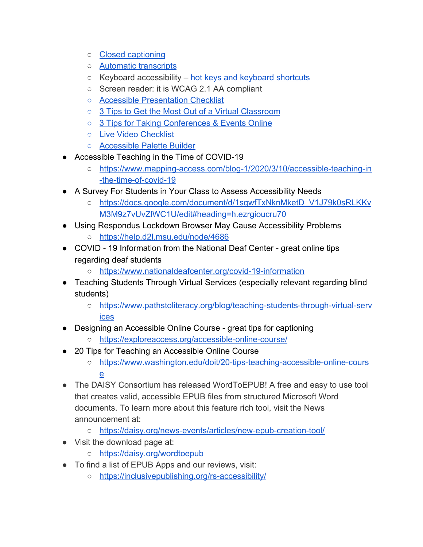- [Closed captioning](https://support.zoom.us/hc/en-us/articles/207279736-Getting-started-with-closed-captioning)
- [Automatic transcripts](https://support.zoom.us/hc/en-us/articles/115004794983-Automatically-Transcribe-Cloud-Recordings-)
- $\circ$  Keyboard accessibility [hot keys and keyboard shortcuts](https://support.zoom.us/hc/en-us/articles/205683899-Hot-Keys-and-Keyboard-for-Zoom)
- Screen reader: it is WCAG 2.1 AA compliant
- [Accessible Presentation Checklist](https://go.3playmedia.com/e2t/c/*W7m-WD43LB1WtW4szfY47KbYgf0/*Vgw1L43LQ4PyVJlX1621Gshc0/5/f18dQhb0Sq5F8Y9Wz-W8sd0rh2qwv15N32xzNp6zcBLMf5pflXD6prW7cmS1s7dKm5BW5tqHH15CYQNLW2ykyBB4vgpVcW7ngy9B7n7MvDW7cVrcZ6bVMRpW6b-CsN1n3hZmW96dQrB1nrCGBW51LTg55DHNj2W2hwKMN6c-1pRW50l_cG7tZW6HW1rqmP11T_KBgW3cLMYg23-nGKW265VBJ22-vhJN1Q40wbfcFxRW7TnHDP5L1yFvW1YkzV85qX7rtW1gvjQb5Ty5_xVbq5fx4TKc2lW6Qhks_4VslNCW2VfmBC5CnPMXW37qXf31KrQJxW2h6FlP4rd51HN6myGYg3zhKJW8fWN_B4rQfPyW2T3_yL16lRrQW8nTCW_1xR5rjW8qhVBQ4CSvJ0W5bKHpw7lMCQnW5CwzmH3TCvQ7W8qCp6k1bBvW3W3_9dyM6LLGbsW1NFfl48P4pWBVlyrgB1kb_rSW27Kkgg1pP0rQW64HjKd2GD9D7W4b7mkX99d6WJN4cFMLSMpd3TN8X3c1wgQ1D9W6WVnjt7w0pS3VcYJKQ7dJ18nVnzH774313mb0)
- [3 Tips to Get the Most Out of a Virtual Classroom](https://go.3playmedia.com/e2t/c/*W7m-WD43LB1WtW4szfY47KbYgf0/*W916VF18q2dn-W6hTG3_94lkXB0/5/f18dQhb0S3j37BfGH_W12Nv6X2_QM1nVnmhtv1Nh9TFW5Hq-yM8zsVYTN3zcJk044X6yW57mT307M7XrlN5Dzb8_hHwlNW2kPrpr2ck9n0N6S1XdZm-3gpW4df30n74j-L7VxLw7f44CG-4W9jSjMn1R87WpW687cjD6Kv1rwW4r-Dwz7fdsxcW23jyCl6fPyTBVr-pVN51324hW4v3rZW5MlWxtW1dkqt-3PNxvCW4phZMs8GGnY-W3XcXmL5SJPkKW36vl4490trvWMcW1jxBL0d0W5jV4_x56pPlSV8s87X2KPhNNW513nMb5DpmjlW9fjcf64jsrDpW7H-lG93BxXDKW5h0pM07njx6hW2yp7qj5VWsDyW1WYff55643sSN8VRmBMK-LlMW8j3WYt34yFDnW8cvc6T3rWlbrW4Ry8BF1RtS1tW6078YZ3Hf9ZYW18M3_n2bjD2SN86Smcpc9SHQW5xRj5f2g4TbpW5HXJK06MJjLCW4qbQCR2JpvNmW7wXYLm6FqxC0W5f8jGM28kwDlW1YgC273-HvlCW1LbQst4n6ML1W6tbBzq6J-3t1W8FXsbG4kRhMqW5vKzsd6kXVmRVSQpNf9f9P6rW8BT6Fw80346ZW2XSJ-b8_fjMkW8Sj9BX2kxr1fW3j07rD5wD6Hlf3ZnDBk11)
- [3 Tips for Taking Conferences & Events Online](https://go.3playmedia.com/e2t/c/*W7m-WD43LB1WtW4szfY47KbYgf0/*V1JDNB84YyHqN7MP-_qJwB430/5/f18dQhb0S3kc6XvPVTL2tw2jqxr0W2nz9Zd4MNhrdW1YySFk90B4B1W3kF0Sb31nXM_W5QB6cd7mTRV0N4_bkdl3k27sN6Qr8v7kM5qvW4QKl2G2yGqbwW7hC0Xl14knDWW9cwYMT5T7dtZW56Ns3r24FsjFW5rWlcd8tmgqyN1lJlsZGbmGfV8jktz2pg8gqW6jXsls8R81q0N11FHl8fymDRW5XNxcs8yZXdNW7GCYlM5kvwGFW7JlcLb4JfZ49W474k11495x58VvKKkS1BfSGhW1xg1YJ8fzS92Vp-sCy20FKrqW9bGkp74ZH58hW4pcsDF8JGZtqW4tsHZl7_y6SRW2Px8bj86b-N8W6dJ_b35ClFrXW8z3nmy4cJzCZW3pb6lr1nk0lYW8THsrT3GwkgJW8Cnjhv3cXYB-W3TLW6w1-wLsYW7H0ssP6NG-2gW96JkWK6Ml7_rW4Bmm738-d1HYW3j5hlC1ZrG3FN6hrn0tJR5vpW36s7k54kRwl1W65FcHd13LrMGW1LkF_v63RWwSW3tYnFm7y9T07W9cRHFZ88Lx1NW5RNn7_5Sf_FcW7DLwQY7jV-2-Vcj1Hd831QJz103)
- [Live Video Checklist](https://go.3playmedia.com/e2t/c/*W7m-WD43LB1WtW4szfY47KbYgf0/*W6GFMBT1z0tVTW41rVrM8qFq-W0/5/f18dQhb0SbTJ8XJ8PxW8VHGWM5VQHvDW6bRcRp4LS2bbW4Q5jLX2zHMkcW6vp1zT47sXDsW3K77nT3MwjwWW2-CT7r3slYjTW4bldTv3LZ2yWW49tBZR4kr5qDW51h2yc41_WgKW41yjTP4tYJCwW2Ysx3q71gXjxW1kq_Vk1T_tCdVlmXTb7t4M9nW38sxZC1xvcyZW2KDbdJ1v14y7W2Swjxk3DvG3lW3gd9kX1B8DH7W5L1yJ85FxwrJW24klCX3jxWlJW3VVkFJ4LG55JW3yZDDx41CGKjW3z7GyS5nV7sQW3LV8X45tpJwmW2Np1g75fl50cW5PT53X6fZcytW4JrWMt6M1xkbW3sKXyh5p3RKdW4Z7WyZ4rvDs5W2K_5cN6P6QcMW5RNjCZ3DZ_YYW49ZTpc3MpChhW3jr4YR6NKhJWW7k-2C-3m2qZ_N41JXfHrX3l1W6VzNX24Nbpm3N50SXR2xYhyVW7lPqRt1x947bW30Hpx6122wS4W4FB7kk82g9KDVb5jBx9f4_HDW74217H8Nxs4nW1VfK5m2pglVTW6vc-Z66vlCdXf3kz7hv04)
- [Accessible Palette Builder](https://go.3playmedia.com/e2t/c/*W7m-WD43LB1WtW4szfY47KbYgf0/*VWfcsV3nZjNwW7cNrpM1jBy9t0/5/f18dQhb0S1Xm2Rwhz9T_FzD5n5T82W4L3jGP2H5qJ8W3cjSg76j9M7jVjwGrg1rV1k_W3M9scR7bQQdpW3FyQ__2ws_GcW2fmFvK7CGrZKW6fxLWk89Pn9sVRJtcQ8Sl49JW5JL9Q61r4pTTW1hPjVl6Fmv_GW5Jns3T1N_s5gW5GQY6Y6f3YjGMQq2yM3nQ4WW4Q3mPx2D4rbWVLWx5q3SHxmYW4J_WBx8hWPWlVhbr5S5zxVJXW8WgjN064xcYKN5HMB6HRskw0W7vGcF03XmjnFW5J3jgb4_PXzFW4QyTj44WfblYN49yhvpFzYkjW2TzSF191j2rrV_kxB28TSJzcW2dPKpV56Z4YWW1Fm54q6BTLgxW1ChT-m8zFW4YW2cGXTm3Nn1B8W6wXqzl7fCsY5W13wptx8_KqNgW5SvK4-2CGCdLW55_Dwn6jWZPCW9cckpT4l1YNJW2Hm0tw30FsDmN8sGd0MdNkz4W2qfS4k5dCwKGW3jj3Xb81l0pkW6-CBZk86gn1sW7W4ZJp933jfqW7s_fyZ96MJ2hW2GMDsR6466pkf3Cc7ph11)
- Accessible Teaching in the Time of COVID-19
	- [https://www.mapping-access.com/blog-1/2020/3/10/accessible-teaching-in](https://www.mapping-access.com/blog-1/2020/3/10/accessible-teaching-in-the-time-of-covid-19) [-the-time-of-covid-19](https://www.mapping-access.com/blog-1/2020/3/10/accessible-teaching-in-the-time-of-covid-19)
- A Survey For Students in Your Class to Assess Accessibility Needs
	- [https://docs.google.com/document/d/1sqwfTxNknMketD\\_V1J79k0sRLKKv](https://docs.google.com/document/d/1sqwfTxNknMketD_V1J79k0sRLKKvM3M9z7vUvZlWC1U/edit#heading=h.ezrgioucru70) [M3M9z7vUvZlWC1U/edit#heading=h.ezrgioucru70](https://docs.google.com/document/d/1sqwfTxNknMketD_V1J79k0sRLKKvM3M9z7vUvZlWC1U/edit#heading=h.ezrgioucru70)
- Using Respondus Lockdown Browser May Cause Accessibility Problems
	- <https://help.d2l.msu.edu/node/4686>
- COVID 19 Information from the National Deaf Center great online tips regarding deaf students
	- <https://www.nationaldeafcenter.org/covid-19-information>
- Teaching Students Through Virtual Services (especially relevant regarding blind students)
	- [https://www.pathstoliteracy.org/blog/teaching-students-through-virtual-serv](https://www.pathstoliteracy.org/blog/teaching-students-through-virtual-services) [ices](https://www.pathstoliteracy.org/blog/teaching-students-through-virtual-services)
- Designing an Accessible Online Course great tips for captioning
	- <https://exploreaccess.org/accessible-online-course/>
- 20 Tips for Teaching an Accessible Online Course
	- [https://www.washington.edu/doit/20-tips-teaching-accessible-online-cours](https://www.washington.edu/doit/20-tips-teaching-accessible-online-course) [e](https://www.washington.edu/doit/20-tips-teaching-accessible-online-course)
- The DAISY Consortium has released WordToEPUB! A free and easy to use tool that creates valid, accessible EPUB files from structured Microsoft Word documents. To learn more about this feature rich tool, visit the News announcement at:
	- <https://daisy.org/news-events/articles/new-epub-creation-tool/>
- Visit the download page at:
	- <https://daisy.org/wordtoepub>
- To find a list of EPUB Apps and our reviews, visit:
	- <https://inclusivepublishing.org/rs-accessibility/>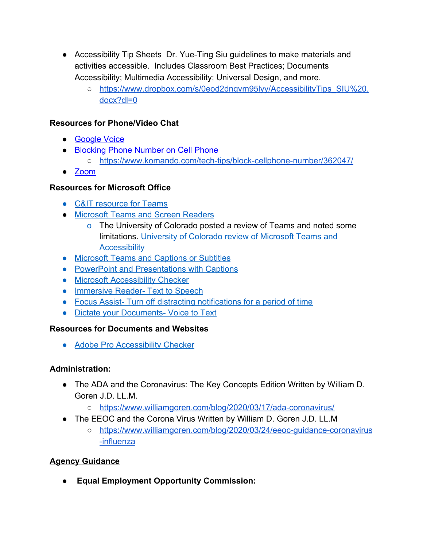- Accessibility Tip Sheets Dr. Yue-Ting Siu guidelines to make materials and activities accessible. Includes Classroom Best Practices; Documents Accessibility; Multimedia Accessibility; Universal Design, and more.
	- [https://www.dropbox.com/s/0eod2dnqvm95lyy/AccessibilityTips\\_SIU%20.](https://www.dropbox.com/s/0eod2dnqvm95lyy/AccessibilityTips_SIU%20.docx?dl=0) [docx?dl=0](https://www.dropbox.com/s/0eod2dnqvm95lyy/AccessibilityTips_SIU%20.docx?dl=0)

#### **Resources for Phone/Video Chat**

- [Google Voice](https://support.google.com/voice/answer/115061?co=GENIE.Platform%3DDesktop&hl=en)
- [Blocking Phone Number on Cell Phone](https://www.komando.com/tech-tips/how-to-block-your-cellphone-number-from-caller-id/362047/)
	- <https://www.komando.com/tech-tips/block-cellphone-number/362047/>
- [Zoom](https://zoom.us/ent?zcid=3172)

#### **Resources for Microsoft Office**

- [C&IT resource for Teams](https://tech.wayne.edu/kb/communication-collaboration/instant-messaging/389938)
- [Microsoft Teams and Screen Readers](https://support.office.com/en-us/article/accessibility-support-for-microsoft-teams-d12ee53f-d15f-445e-be8d-f0ba2c5ee68f#PickTab=Mac)
	- o The University of Colorado posted a review of Teams and noted some limitations. [University of Colorado review of Microsoft Teams and](https://oit.colorado.edu/services/messaging-collaboration/microsoft-office-365/help/teams/accessibility) **[Accessibility](https://oit.colorado.edu/services/messaging-collaboration/microsoft-office-365/help/teams/accessibility)**
- [Microsoft Teams and Captions or Subtitles](https://support.office.com/en-us/article/use-live-captions-in-a-teams-meeting-4be2d304-f675-4b57-8347-cbd000a21260)
- [PowerPoint and Presentations with Captions](https://support.office.com/en-us/article/present-with-real-time-automatic-captions-or-subtitles-in-powerpoint-68d20e49-aec3-456a-939d-34a79e8ddd5f)
- [Microsoft Accessibility Checker](https://support.office.com/en-us/article/Improve-accessibility-with-the-Accessibility-Checker-a16f6de0-2f39-4a2b-8bd8-5ad801426c7f)
- [Immersive Reader- Text to Speech](https://www.onenote.com/learningtools)
- [Focus Assist- Turn off distracting notifications for a period of time](https://support.microsoft.com/en-us/help/4026996/windows-10-turn-focus-assist-on-or-off)
- [Dictate your Documents- Voice to Text](https://support.office.com/en-us/article/dictate-your-documents-d4fd296e-8f15-4168-afec-1f95b13a6408?ui=en-US&rs=en-US&ad=US)

#### **Resources for Documents and Websites**

• [Adobe Pro Accessibility Checker](https://www.adobe.com/accessibility/products/acrobat/using-acrobat-pro-accessibility-checker.html)

#### **Administration:**

- The ADA and the Coronavirus: The Key Concepts Edition Written by William D. Goren J.D. LL.M.
	- <https://www.williamgoren.com/blog/2020/03/17/ada-coronavirus/>
- The EEOC and the Corona Virus Written by William D. Goren J.D. LL.M
	- [https://www.williamgoren.com/blog/2020/03/24/eeoc-guidance-coronavirus](https://www.williamgoren.com/blog/2020/03/24/eeoc-guidance-coronavirus-influenza) [-influenza](https://www.williamgoren.com/blog/2020/03/24/eeoc-guidance-coronavirus-influenza)

## **Agency Guidance**

● **Equal Employment Opportunity Commission:**